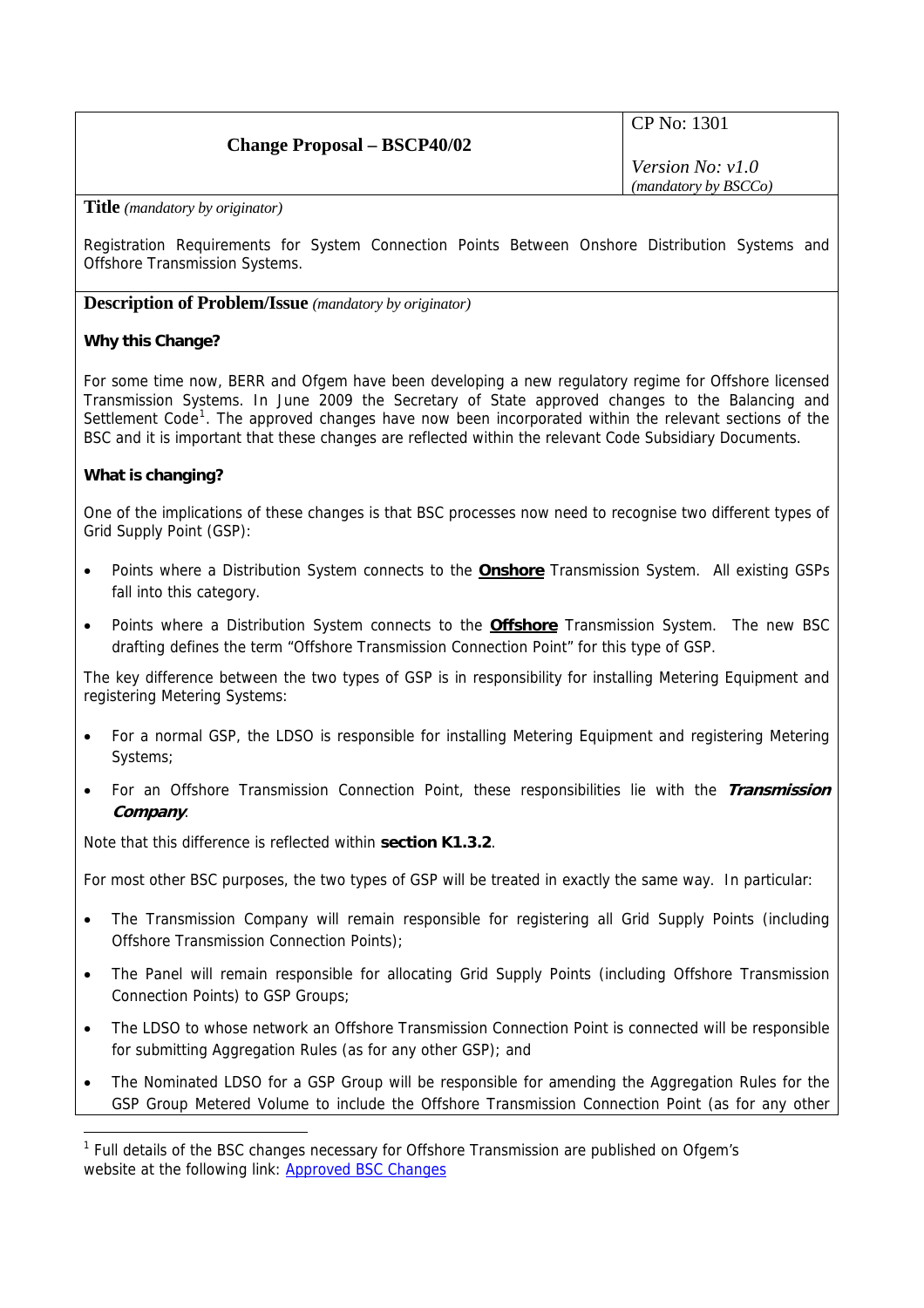# **Change Proposal – BSCP40/02**

CP No: 1301

*Version No: v1.0 (mandatory by BSCCo)*

**Title** *(mandatory by originator)* 

Registration Requirements for System Connection Points Between Onshore Distribution Systems and Offshore Transmission Systems.

**Description of Problem/Issue** *(mandatory by originator)* 

### **Why this Change?**

For some time now, BERR and Ofgem have been developing a new regulatory regime for Offshore licensed Transmission Systems. In June 2009 the Secretary of State approved changes to the Balancing and Settlement Code<sup>[1](#page-0-0)</sup>. The approved changes have now been incorporated within the relevant sections of the BSC and it is important that these changes are reflected within the relevant Code Subsidiary Documents.

### **What is changing?**

<span id="page-0-1"></span> $\overline{a}$ 

One of the implications of these changes is that BSC processes now need to recognise two different types of Grid Supply Point (GSP):

- Points where a Distribution System connects to the **Onshore** Transmission System. All existing GSPs fall into this category.
- Points where a Distribution System connects to the **Offshore** Transmission System. The new BSC drafting defines the term "Offshore Transmission Connection Point" for this type of GSP.

The key difference between the two types of GSP is in responsibility for installing Metering Equipment and registering Metering Systems:

- For a normal GSP, the LDSO is responsible for installing Metering Equipment and registering Metering Systems;
- For an Offshore Transmission Connection Point, these responsibilities lie with the **Transmission Company**.

Note that this difference is reflected within **section K1.3.2**.

For most other BSC purposes, the two types of GSP will be treated in exactly the same way. In particular:

- The Transmission Company will remain responsible for registering all Grid Supply Points (including Offshore Transmission Connection Points);
- The Panel will remain responsible for allocating Grid Supply Points (including Offshore Transmission Connection Points) to GSP Groups;
- The LDSO to whose network an Offshore Transmission Connection Point is connected will be responsible for submitting Aggregation Rules (as for any other GSP); and
- The Nominated LDSO for a GSP Group will be responsible for amending the Aggregation Rules for the GSP Group Metered Volume to include the Offshore Transmission Connection Point (as for any other

<span id="page-0-4"></span><span id="page-0-3"></span><span id="page-0-2"></span><span id="page-0-0"></span><sup>&</sup>lt;sup>1</sup> Full details of the BSC changes necessary for Offshore Transmission are published on Ofgem's website at the following link: [Approved BSC Changes](http://www.ofgem.gov.uk/Networks/offtrans/pdc/cdr/cons2009/Documents1/BSC_Go-Active.pdf)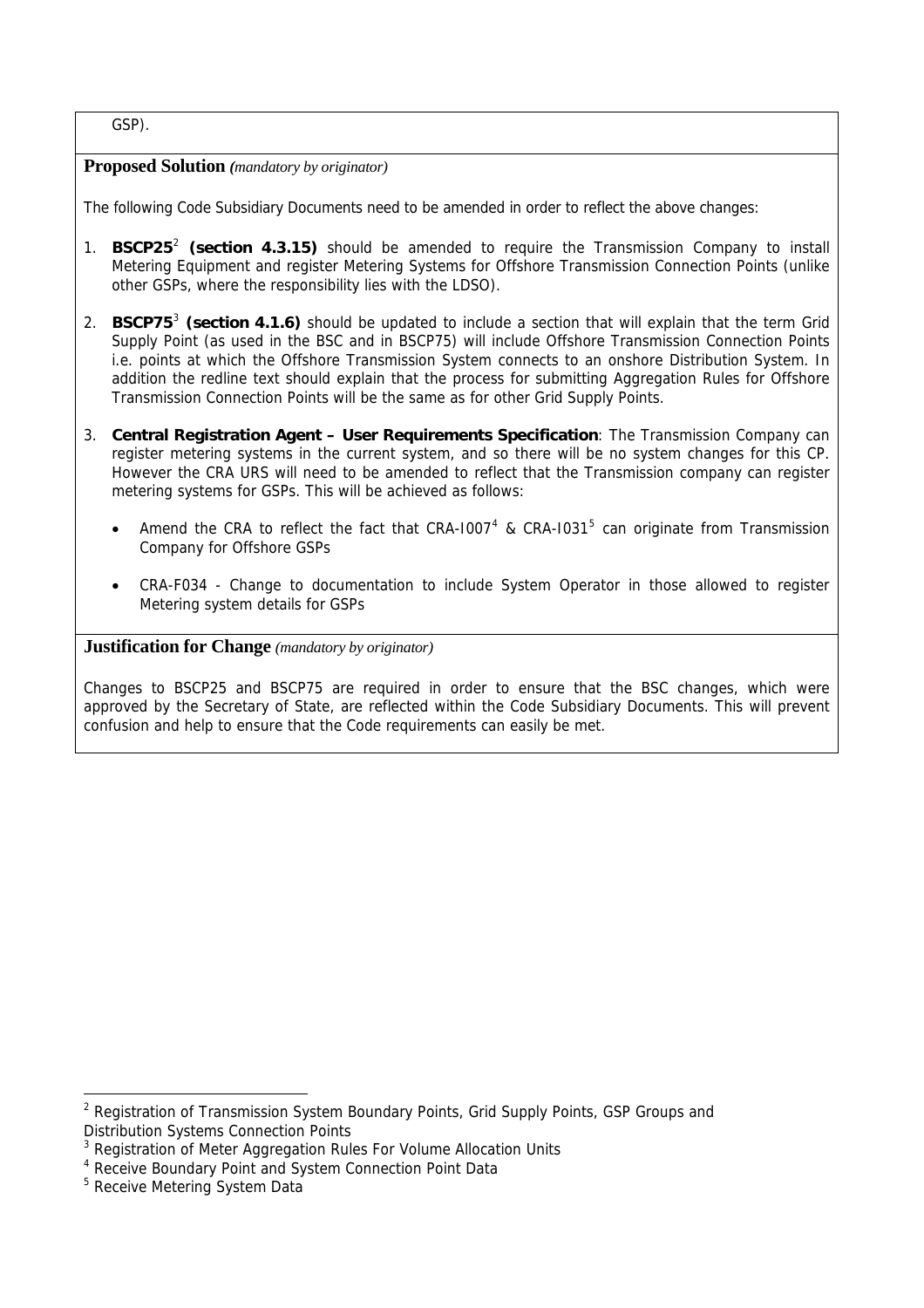GSP).

### **Proposed Solution** *(mandatory by originator)*

The following Code Subsidiary Documents need to be amended in order to reflect the above changes:

- 1. **BSCP25**[2](#page-0-1)  **(section 4.3.15)** should be amended to require the Transmission Company to install Metering Equipment and register Metering Systems for Offshore Transmission Connection Points (unlike other GSPs, where the responsibility lies with the LDSO).
- 2. **BSCP75**[3](#page-0-2) **(section 4.1.6)** should be updated to include a section that will explain that the term Grid Supply Point (as used in the BSC and in BSCP75) will include Offshore Transmission Connection Points i.e. points at which the Offshore Transmission System connects to an onshore Distribution System. In addition the redline text should explain that the process for submitting Aggregation Rules for Offshore Transmission Connection Points will be the same as for other Grid Supply Points.
- 3. **Central Registration Agent User Requirements Specification**: The Transmission Company can register metering systems in the current system, and so there will be no system changes for this CP. However the CRA URS will need to be amended to reflect that the Transmission company can register metering systems for GSPs. This will be achieved as follows:
	- Amend the CRA to reflect the fact that CRA-1007<sup>[4](#page-0-3)</sup> & CRA-1031<sup>[5](#page-0-4)</sup> can originate from Transmission Company for Offshore GSPs
	- CRA-F034 Change to documentation to include System Operator in those allowed to register Metering system details for GSPs

### **Justification for Change** *(mandatory by originator)*

Changes to BSCP25 and BSCP75 are required in order to ensure that the BSC changes, which were approved by the Secretary of State, are reflected within the Code Subsidiary Documents. This will prevent confusion and help to ensure that the Code requirements can easily be met.

 $\overline{a}$ 

<sup>&</sup>lt;sup>2</sup> Registration of Transmission System Boundary Points, Grid Supply Points, GSP Groups and Distribution Systems Connection Points

<sup>&</sup>lt;sup>3</sup> Registration of Meter Aggregation Rules For Volume Allocation Units

<sup>4</sup> Receive Boundary Point and System Connection Point Data

<sup>&</sup>lt;sup>5</sup> Receive Metering System Data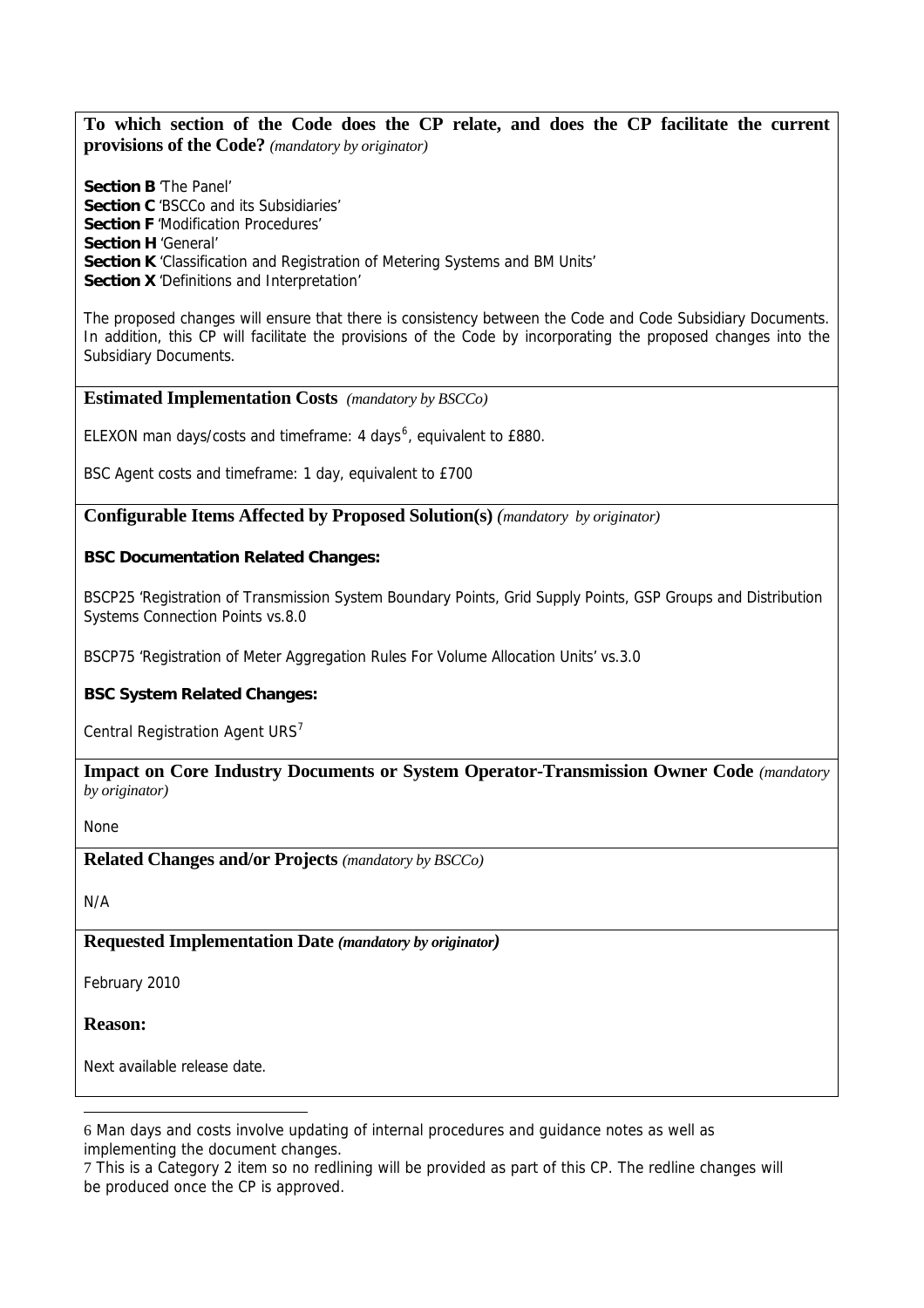**To which section of the Code does the CP relate, and does the CP facilitate the current provisions of the Code?** *(mandatory by originator)* 

**Section B** 'The Panel' **Section C 'BSCCo and its Subsidiaries' Section F 'Modification Procedures' Section H** 'General' **Section K** 'Classification and Registration of Metering Systems and BM Units' **Section X** 'Definitions and Interpretation'

The proposed changes will ensure that there is consistency between the Code and Code Subsidiary Documents. In addition, this CP will facilitate the provisions of the Code by incorporating the proposed changes into the Subsidiary Documents.

### **Estimated Implementation Costs** *(mandatory by BSCCo)*

ELEXON man days/costs and timeframe: 4 days<sup>[6](#page-2-0)</sup>, equivalent to £880.

BSC Agent costs and timeframe: 1 day, equivalent to £700

**Configurable Items Affected by Proposed Solution(s)** *(mandatory by originator)* 

## **BSC Documentation Related Changes:**

BSCP25 'Registration of Transmission System Boundary Points, Grid Supply Points, GSP Groups and Distribution Systems Connection Points vs.8.0

BSCP75 'Registration of Meter Aggregation Rules For Volume Allocation Units' vs.3.0

# **BSC System Related Changes:**

Central Registration Agent URS<sup>[7](#page-2-1)</sup>

**Impact on Core Industry Documents or System Operator-Transmission Owner Code** *(mandatory by originator)* 

None

**Related Changes and/or Projects** *(mandatory by BSCCo)*

N/A

# **Requested Implementation Date** *(mandatory by originator)*

February 2010

## **Reason:**

 $\overline{a}$ 

Next available release date.

<span id="page-2-0"></span><sup>6</sup> Man days and costs involve updating of internal procedures and guidance notes as well as implementing the document changes.

<span id="page-2-1"></span><sup>7</sup> This is a Category 2 item so no redlining will be provided as part of this CP. The redline changes will be produced once the CP is approved.